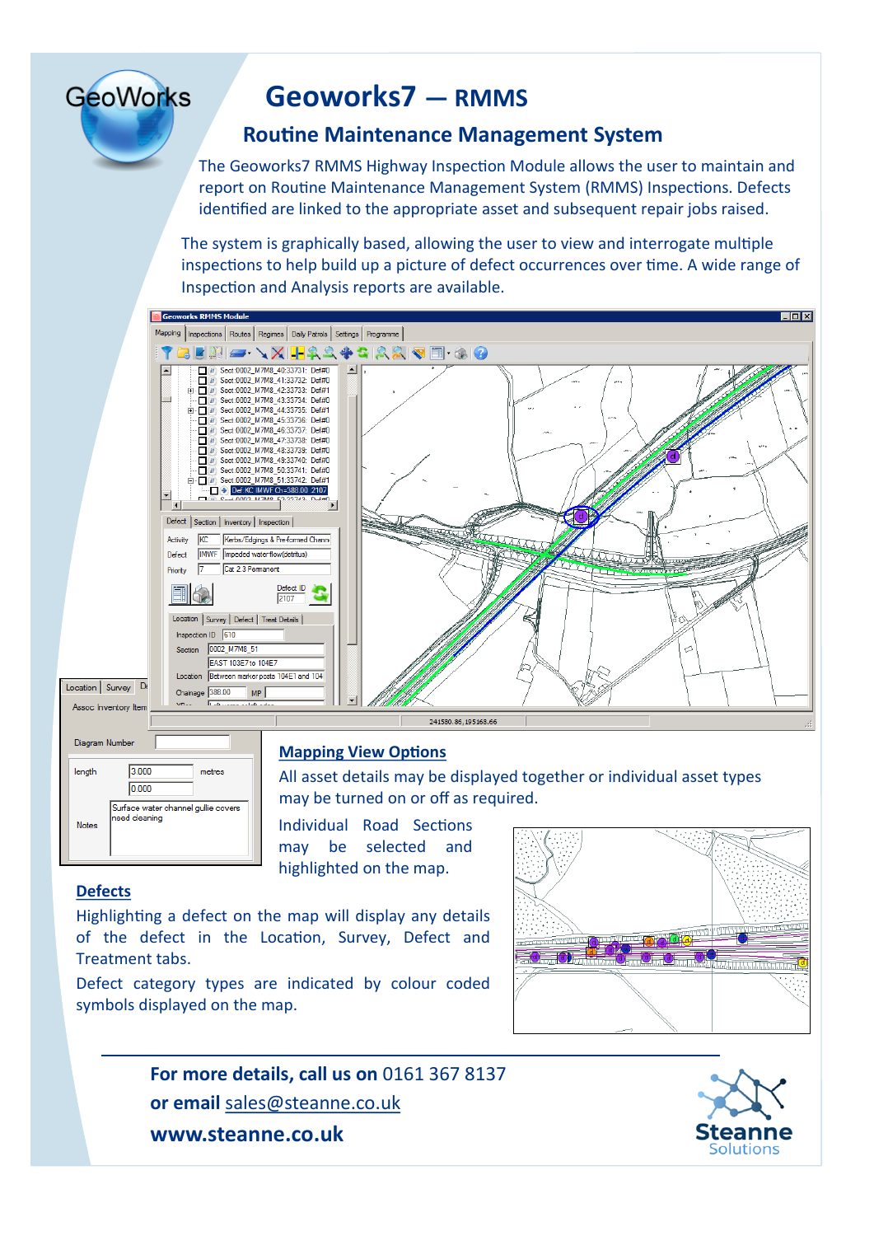# **GeoWorks**

## **Geoworks7 — RMMS**

### **Routine Maintenance Management System**

The Geoworks7 RMMS Highway Inspection Module allows the user to maintain and report on Routine Maintenance Management System (RMMS) Inspections. Defects identified are linked to the appropriate asset and subsequent repair jobs raised.

The system is graphically based, allowing the user to view and interrogate multiple inspections to help build up a picture of defect occurrences over time. A wide range of Inspection and Analysis reports are available.





#### **Mapping View Options**

All asset details may be displayed together or individual asset types may be turned on or off as required.

Individual Road Sections may be selected and highlighted on the map.

#### **Defects**

Highlighting a defect on the map will display any details of the defect in the Location, Survey, Defect and Treatment tabs.

Defect category types are indicated by colour coded symbols displayed on the map.



**For more details, call us on** 0161 367 8137 **or email** sales@steanne.co.uk **www.steanne.co.uk**